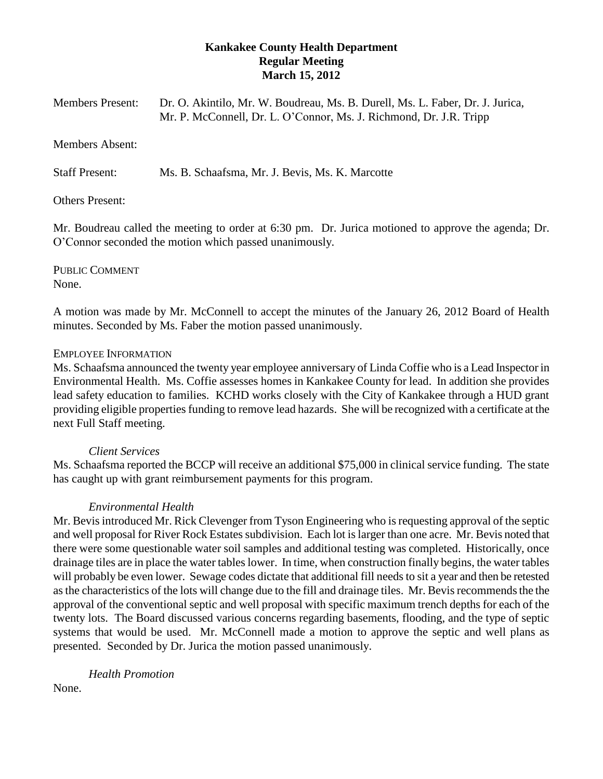# **Kankakee County Health Department Regular Meeting March 15, 2012**

| <b>Members Present:</b> | Dr. O. Akintilo, Mr. W. Boudreau, Ms. B. Durell, Ms. L. Faber, Dr. J. Jurica, |
|-------------------------|-------------------------------------------------------------------------------|
|                         | Mr. P. McConnell, Dr. L. O'Connor, Ms. J. Richmond, Dr. J.R. Tripp            |

#### Members Absent:

Staff Present: Ms. B. Schaafsma, Mr. J. Bevis, Ms. K. Marcotte

#### Others Present:

Mr. Boudreau called the meeting to order at 6:30 pm. Dr. Jurica motioned to approve the agenda; Dr. O'Connor seconded the motion which passed unanimously.

PUBLIC COMMENT None.

A motion was made by Mr. McConnell to accept the minutes of the January 26, 2012 Board of Health minutes. Seconded by Ms. Faber the motion passed unanimously.

#### EMPLOYEE INFORMATION

Ms. Schaafsma announced the twenty year employee anniversary of Linda Coffie who is a Lead Inspector in Environmental Health. Ms. Coffie assesses homes in Kankakee County for lead. In addition she provides lead safety education to families. KCHD works closely with the City of Kankakee through a HUD grant providing eligible properties funding to remove lead hazards. She will be recognized with a certificate at the next Full Staff meeting.

#### *Client Services*

Ms. Schaafsma reported the BCCP will receive an additional \$75,000 in clinical service funding. The state has caught up with grant reimbursement payments for this program.

## *Environmental Health*

Mr. Bevis introduced Mr. Rick Clevenger from Tyson Engineering who is requesting approval of the septic and well proposal for River Rock Estates subdivision. Each lot is larger than one acre. Mr. Bevis noted that there were some questionable water soil samples and additional testing was completed. Historically, once drainage tiles are in place the water tables lower. In time, when construction finally begins, the water tables will probably be even lower. Sewage codes dictate that additional fill needs to sit a year and then be retested as the characteristics of the lots will change due to the fill and drainage tiles. Mr. Bevis recommends the the approval of the conventional septic and well proposal with specific maximum trench depths for each of the twenty lots. The Board discussed various concerns regarding basements, flooding, and the type of septic systems that would be used. Mr. McConnell made a motion to approve the septic and well plans as presented. Seconded by Dr. Jurica the motion passed unanimously.

*Health Promotion*

None.